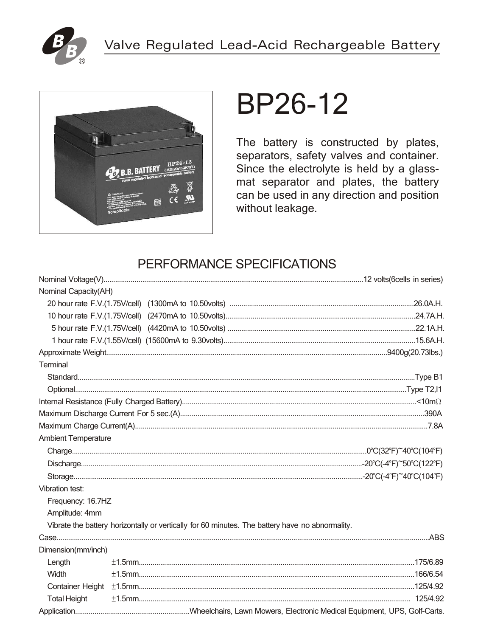



# **BP26-12**

The battery is constructed by plates, separators, safety valves and container. Since the electrolyte is held by a glassmat separator and plates, the battery can be used in any direction and position without leakage.

# PERFORMANCE SPECIFICATIONS

| Nominal Capacity(AH)       |                                                                                                 |  |
|----------------------------|-------------------------------------------------------------------------------------------------|--|
|                            |                                                                                                 |  |
|                            |                                                                                                 |  |
|                            |                                                                                                 |  |
|                            |                                                                                                 |  |
|                            |                                                                                                 |  |
| Terminal                   |                                                                                                 |  |
|                            |                                                                                                 |  |
|                            |                                                                                                 |  |
|                            |                                                                                                 |  |
|                            |                                                                                                 |  |
|                            |                                                                                                 |  |
| <b>Ambient Temperature</b> |                                                                                                 |  |
|                            |                                                                                                 |  |
|                            |                                                                                                 |  |
|                            |                                                                                                 |  |
| Vibration test:            |                                                                                                 |  |
| Frequency: 16.7HZ          |                                                                                                 |  |
| Amplitude: 4mm             |                                                                                                 |  |
|                            | Vibrate the battery horizontally or vertically for 60 minutes. The battery have no abnormality. |  |
|                            |                                                                                                 |  |
| Dimension(mm/inch)         |                                                                                                 |  |
| Length                     |                                                                                                 |  |
| Width                      |                                                                                                 |  |
| <b>Container Height</b>    |                                                                                                 |  |
| <b>Total Height</b>        |                                                                                                 |  |
|                            |                                                                                                 |  |